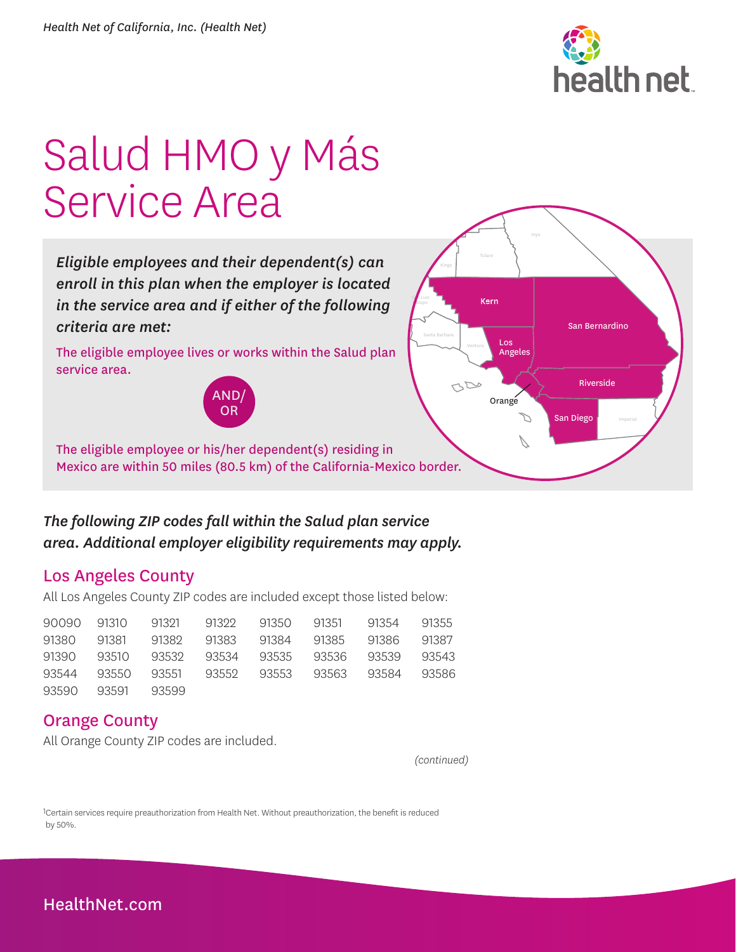

# Salud HMO y Más Service Area

*Eligible employees and their dependent(s) can enroll in this plan when the employer is located in the service area and if either of the following criteria are met:* 

The eligible employee lives or works within the Salud plan service area.





The eligible employee or his/her dependent(s) residing in Mexico are within 50 miles (80.5 km) of the California-Mexico border.

### *The following ZIP codes fall within the Salud plan service area. Additional employer eligibility requirements may apply.*

#### Los Angeles County

All Los Angeles County ZIP codes are included except those listed below:

|                   |  |  | 90090 91310 91321 91322 91350 91351 91354 91355 |  |
|-------------------|--|--|-------------------------------------------------|--|
|                   |  |  | 91380 91381 91382 91383 91384 91385 91386 91387 |  |
|                   |  |  | 91390 93510 93532 93534 93535 93536 93539 93543 |  |
|                   |  |  | 93544 93550 93551 93552 93553 93563 93584 93586 |  |
| 93590 93591 93599 |  |  |                                                 |  |

#### Orange County

All Orange County ZIP codes are included.

*(continued)*

1Certain services require preauthorization from Health Net. Without preauthorization, the benefit is reduced by 50%.